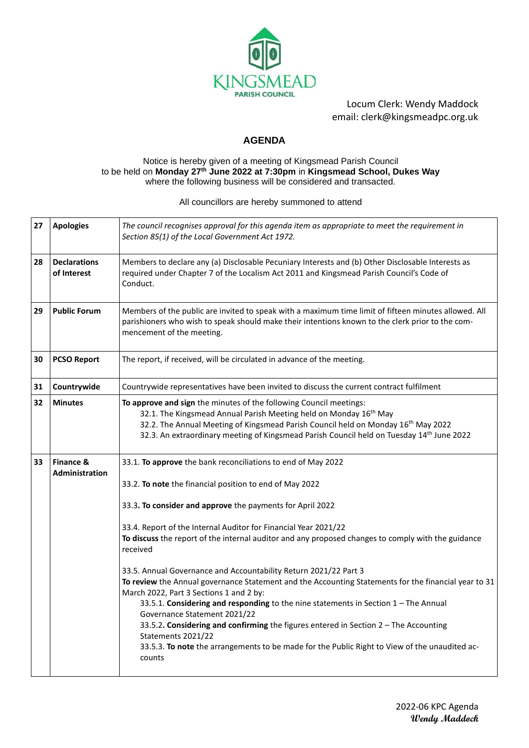

Locum Clerk: Wendy Maddock email: clerk@kingsmeadpc.org.uk

## **AGENDA**

## Notice is hereby given of a meeting of Kingsmead Parish Council to be held on **Monday 27th June 2022 at 7:30pm** in **Kingsmead School, Dukes Way** where the following business will be considered and transacted.

All councillors are hereby summoned to attend

| 27                                                                                                                                                                                                                                          | <b>Apologies</b>                   | The council recognises approval for this agenda item as appropriate to meet the requirement in<br>Section 85(1) of the Local Government Act 1972.                                                                                                                                                                                     |  |
|---------------------------------------------------------------------------------------------------------------------------------------------------------------------------------------------------------------------------------------------|------------------------------------|---------------------------------------------------------------------------------------------------------------------------------------------------------------------------------------------------------------------------------------------------------------------------------------------------------------------------------------|--|
| 28                                                                                                                                                                                                                                          | <b>Declarations</b><br>of Interest | Members to declare any (a) Disclosable Pecuniary Interests and (b) Other Disclosable Interests as<br>required under Chapter 7 of the Localism Act 2011 and Kingsmead Parish Council's Code of<br>Conduct.                                                                                                                             |  |
| 29                                                                                                                                                                                                                                          | <b>Public Forum</b>                | Members of the public are invited to speak with a maximum time limit of fifteen minutes allowed. All<br>parishioners who wish to speak should make their intentions known to the clerk prior to the com-<br>mencement of the meeting.                                                                                                 |  |
| 30                                                                                                                                                                                                                                          | <b>PCSO Report</b>                 | The report, if received, will be circulated in advance of the meeting.                                                                                                                                                                                                                                                                |  |
| 31                                                                                                                                                                                                                                          | Countrywide                        | Countrywide representatives have been invited to discuss the current contract fulfilment                                                                                                                                                                                                                                              |  |
| 32                                                                                                                                                                                                                                          | <b>Minutes</b>                     | To approve and sign the minutes of the following Council meetings:<br>32.1. The Kingsmead Annual Parish Meeting held on Monday 16 <sup>th</sup> May<br>32.2. The Annual Meeting of Kingsmead Parish Council held on Monday 16th May 2022<br>32.3. An extraordinary meeting of Kingsmead Parish Council held on Tuesday 14th June 2022 |  |
| <b>Finance &amp;</b><br>33<br>33.1. To approve the bank reconciliations to end of May 2022<br><b>Administration</b><br>33.2. To note the financial position to end of May 2022<br>33.3. To consider and approve the payments for April 2022 |                                    |                                                                                                                                                                                                                                                                                                                                       |  |
|                                                                                                                                                                                                                                             |                                    |                                                                                                                                                                                                                                                                                                                                       |  |
|                                                                                                                                                                                                                                             |                                    |                                                                                                                                                                                                                                                                                                                                       |  |
|                                                                                                                                                                                                                                             |                                    | 33.4. Report of the Internal Auditor for Financial Year 2021/22                                                                                                                                                                                                                                                                       |  |
|                                                                                                                                                                                                                                             |                                    | To discuss the report of the internal auditor and any proposed changes to comply with the guidance<br>received                                                                                                                                                                                                                        |  |
|                                                                                                                                                                                                                                             |                                    | 33.5. Annual Governance and Accountability Return 2021/22 Part 3                                                                                                                                                                                                                                                                      |  |
|                                                                                                                                                                                                                                             |                                    | To review the Annual governance Statement and the Accounting Statements for the financial year to 31<br>March 2022, Part 3 Sections 1 and 2 by:                                                                                                                                                                                       |  |
|                                                                                                                                                                                                                                             |                                    | 33.5.1. Considering and responding to the nine statements in Section 1 - The Annual<br>Governance Statement 2021/22                                                                                                                                                                                                                   |  |
|                                                                                                                                                                                                                                             |                                    | 33.5.2. Considering and confirming the figures entered in Section 2 - The Accounting<br>Statements 2021/22                                                                                                                                                                                                                            |  |
|                                                                                                                                                                                                                                             |                                    | 33.5.3. To note the arrangements to be made for the Public Right to View of the unaudited ac-<br>counts                                                                                                                                                                                                                               |  |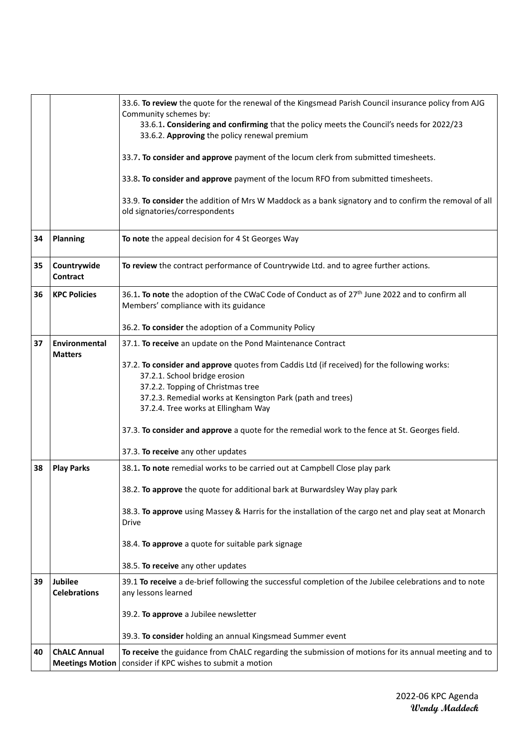|                                                                                                                                                                                      |                                                                                                                                                                 | 33.6. To review the quote for the renewal of the Kingsmead Parish Council insurance policy from AJG<br>Community schemes by:<br>33.6.1. Considering and confirming that the policy meets the Council's needs for 2022/23<br>33.6.2. Approving the policy renewal premium<br>33.7. To consider and approve payment of the locum clerk from submitted timesheets.<br>33.8. To consider and approve payment of the locum RFO from submitted timesheets.<br>33.9. To consider the addition of Mrs W Maddock as a bank signatory and to confirm the removal of all<br>old signatories/correspondents |  |
|--------------------------------------------------------------------------------------------------------------------------------------------------------------------------------------|-----------------------------------------------------------------------------------------------------------------------------------------------------------------|-------------------------------------------------------------------------------------------------------------------------------------------------------------------------------------------------------------------------------------------------------------------------------------------------------------------------------------------------------------------------------------------------------------------------------------------------------------------------------------------------------------------------------------------------------------------------------------------------|--|
| 34                                                                                                                                                                                   | <b>Planning</b>                                                                                                                                                 | To note the appeal decision for 4 St Georges Way                                                                                                                                                                                                                                                                                                                                                                                                                                                                                                                                                |  |
| 35                                                                                                                                                                                   | Countrywide<br><b>Contract</b>                                                                                                                                  | To review the contract performance of Countrywide Ltd. and to agree further actions.                                                                                                                                                                                                                                                                                                                                                                                                                                                                                                            |  |
| 36                                                                                                                                                                                   | <b>KPC Policies</b>                                                                                                                                             | 36.1. To note the adoption of the CWaC Code of Conduct as of 27 <sup>th</sup> June 2022 and to confirm all<br>Members' compliance with its guidance                                                                                                                                                                                                                                                                                                                                                                                                                                             |  |
|                                                                                                                                                                                      |                                                                                                                                                                 | 36.2. To consider the adoption of a Community Policy                                                                                                                                                                                                                                                                                                                                                                                                                                                                                                                                            |  |
| 37                                                                                                                                                                                   | Environmental<br><b>Matters</b>                                                                                                                                 | 37.1. To receive an update on the Pond Maintenance Contract<br>37.2. To consider and approve quotes from Caddis Ltd (if received) for the following works:<br>37.2.1. School bridge erosion<br>37.2.2. Topping of Christmas tree<br>37.2.3. Remedial works at Kensington Park (path and trees)<br>37.2.4. Tree works at Ellingham Way<br>37.3. To consider and approve a quote for the remedial work to the fence at St. Georges field.<br>37.3. To receive any other updates                                                                                                                   |  |
| <b>Play Parks</b><br>38.1. To note remedial works to be carried out at Campbell Close play park<br>38<br>38.2. To approve the quote for additional bark at Burwardsley Way play park |                                                                                                                                                                 |                                                                                                                                                                                                                                                                                                                                                                                                                                                                                                                                                                                                 |  |
|                                                                                                                                                                                      |                                                                                                                                                                 |                                                                                                                                                                                                                                                                                                                                                                                                                                                                                                                                                                                                 |  |
|                                                                                                                                                                                      |                                                                                                                                                                 | 38.3. To approve using Massey & Harris for the installation of the cargo net and play seat at Monarch<br><b>Drive</b>                                                                                                                                                                                                                                                                                                                                                                                                                                                                           |  |
|                                                                                                                                                                                      |                                                                                                                                                                 | 38.4. To approve a quote for suitable park signage                                                                                                                                                                                                                                                                                                                                                                                                                                                                                                                                              |  |
|                                                                                                                                                                                      |                                                                                                                                                                 | 38.5. To receive any other updates                                                                                                                                                                                                                                                                                                                                                                                                                                                                                                                                                              |  |
| 39                                                                                                                                                                                   | Jubilee<br>39.1 To receive a de-brief following the successful completion of the Jubilee celebrations and to note<br><b>Celebrations</b><br>any lessons learned |                                                                                                                                                                                                                                                                                                                                                                                                                                                                                                                                                                                                 |  |
|                                                                                                                                                                                      |                                                                                                                                                                 | 39.2. To approve a Jubilee newsletter                                                                                                                                                                                                                                                                                                                                                                                                                                                                                                                                                           |  |
|                                                                                                                                                                                      |                                                                                                                                                                 | 39.3. To consider holding an annual Kingsmead Summer event                                                                                                                                                                                                                                                                                                                                                                                                                                                                                                                                      |  |
| 40                                                                                                                                                                                   | <b>ChALC Annual</b><br><b>Meetings Motion</b>                                                                                                                   | To receive the guidance from ChALC regarding the submission of motions for its annual meeting and to<br>consider if KPC wishes to submit a motion                                                                                                                                                                                                                                                                                                                                                                                                                                               |  |